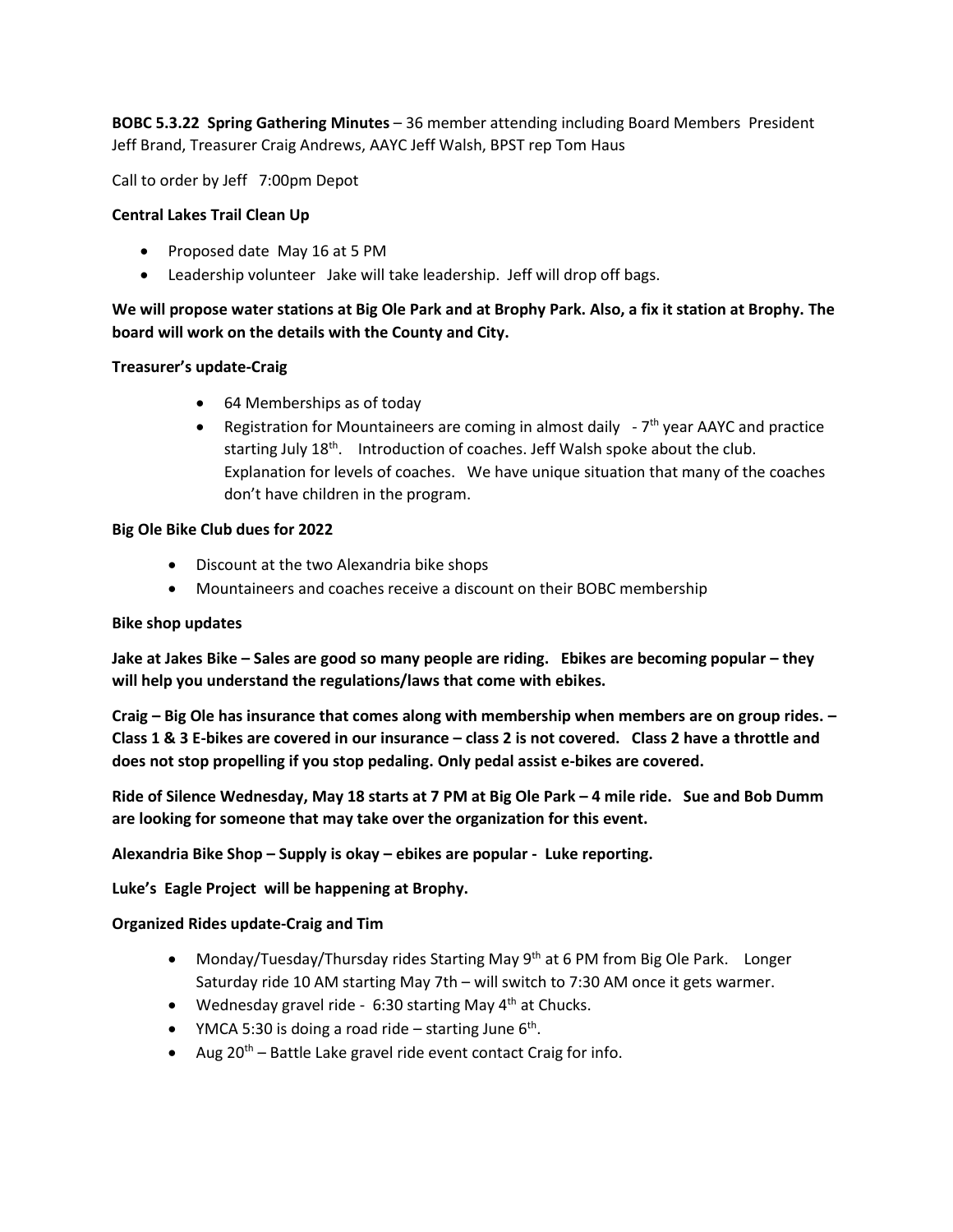**BOBC 5.3.22 Spring Gathering Minutes** – 36 member attending including Board Members President Jeff Brand, Treasurer Craig Andrews, AAYC Jeff Walsh, BPST rep Tom Haus

Call to order by Jeff 7:00pm Depot

## **Central Lakes Trail Clean Up**

- Proposed date May 16 at 5 PM
- Leadership volunteer Jake will take leadership. Jeff will drop off bags.

# **We will propose water stations at Big Ole Park and at Brophy Park. Also, a fix it station at Brophy. The board will work on the details with the County and City.**

### **Treasurer's update-Craig**

- 64 Memberships as of today
- Registration for Mountaineers are coming in almost daily -7<sup>th</sup> year AAYC and practice starting July 18<sup>th</sup>. Introduction of coaches. Jeff Walsh spoke about the club. Explanation for levels of coaches. We have unique situation that many of the coaches don't have children in the program.

### **Big Ole Bike Club dues for 2022**

- Discount at the two Alexandria bike shops
- Mountaineers and coaches receive a discount on their BOBC membership

#### **Bike shop updates**

**Jake at Jakes Bike – Sales are good so many people are riding. Ebikes are becoming popular – they will help you understand the regulations/laws that come with ebikes.** 

**Craig – Big Ole has insurance that comes along with membership when members are on group rides. – Class 1 & 3 E-bikes are covered in our insurance – class 2 is not covered. Class 2 have a throttle and does not stop propelling if you stop pedaling. Only pedal assist e-bikes are covered.**

**Ride of Silence Wednesday, May 18 starts at 7 PM at Big Ole Park – 4 mile ride. Sue and Bob Dumm are looking for someone that may take over the organization for this event.** 

**Alexandria Bike Shop – Supply is okay – ebikes are popular - Luke reporting.** 

**Luke's Eagle Project will be happening at Brophy.** 

**Organized Rides update-Craig and Tim**

- Monday/Tuesday/Thursday rides Starting May 9<sup>th</sup> at 6 PM from Big Ole Park. Longer Saturday ride 10 AM starting May 7th – will switch to 7:30 AM once it gets warmer.
- Wednesday gravel ride 6:30 starting May  $4<sup>th</sup>$  at Chucks.
- YMCA 5:30 is doing a road ride  $-$  starting June  $6<sup>th</sup>$ .
- Aug  $20^{th}$  Battle Lake gravel ride event contact Craig for info.